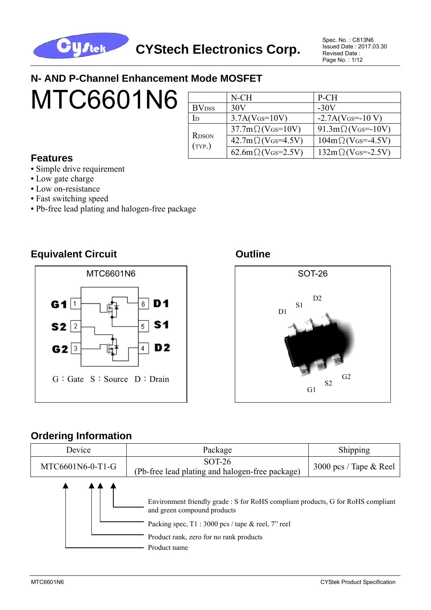

Spec. No. : C813N6 Issued Date : 2017.03.30 Revised Date : Page No. : 1/12

#### **N- AND P-Channel Enhancement Mode MOSFET**

# **MTC6601N6**

|                          | $N$ - $CH$                                    | P-CH                             |
|--------------------------|-----------------------------------------------|----------------------------------|
| <b>BV</b> <sub>DSS</sub> | 30V                                           | $-30V$                           |
| Id                       | $3.7A(V$ <sub>GS</sub> =10V)                  | $-2.7A(V$ Gs= $-10 V$ )          |
|                          | $37.7 \text{m} \Omega$ (VGs=10V)              | $91.3 \text{m}\Omega$ (VGs=-10V) |
| <b>RDSON</b><br>(TYP.)   | $42.7 \text{m} \Omega (V \text{G} s = 4.5 V)$ | $104m\Omega$ (VGs=-4.5V)         |
|                          | $62.6m\Omega$ (VGs=2.5V)                      | $132m\Omega$ (VGs=-2.5V)         |

#### **Features**

- Simple drive requirement
- Low gate charge
- Low on-resistance
- **•** Fast switching speed
- **•** Pb-free lead plating and halogen-free package

#### **Equivalent Circuit Canadian Circuit Circuit Circuit Circuit Circuit Circuit Circuit Circuit Circuit Circuit**





#### **Ordering Information**

| Device           | Package                                                                                                                                                                                                                          | Shipping                 |  |
|------------------|----------------------------------------------------------------------------------------------------------------------------------------------------------------------------------------------------------------------------------|--------------------------|--|
| MTC6601N6-0-T1-G | <b>SOT-26</b><br>(Pb-free lead plating and halogen-free package)                                                                                                                                                                 | 3000 pcs / Tape $&$ Reel |  |
|                  | Environment friendly grade : S for RoHS compliant products, G for RoHS compliant<br>and green compound products<br>Packing spec, $T1:3000$ pcs / tape & reel, 7" reel<br>Product rank, zero for no rank products<br>Product name |                          |  |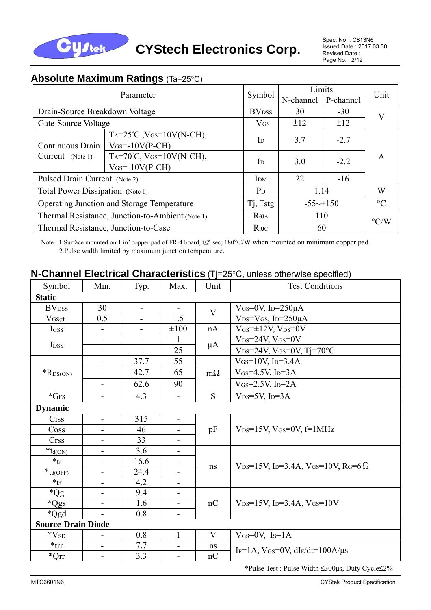

#### **Absolute Maximum Ratings** (Ta=25°C)

| Parameter                                        |                                                                          |                                      | Limits                 |           | Unit               |
|--------------------------------------------------|--------------------------------------------------------------------------|--------------------------------------|------------------------|-----------|--------------------|
|                                                  |                                                                          | Symbol                               | N-channel              | P-channel |                    |
| Drain-Source Breakdown Voltage                   |                                                                          | <b>BV</b> <sub>DSS</sub>             | 30                     | $-30$     | V                  |
| Gate-Source Voltage                              |                                                                          | $V$ <sub>GS</sub>                    | ±12                    | ±12       |                    |
| Continuous Drain                                 | $Ta=25^{\circ}C$ , $V$ $GS=10V(N-CH)$ ,<br>$V$ <sub>GS</sub> =-10V(P-CH) | $\mathbf{I}$                         | 3.7                    | $-2.7$    |                    |
| Current (Note 1)                                 | $Ta=70^{\circ}C, V(s=10V(N-CH),$<br>$V$ <sub>GS</sub> =-10V(P-CH)        | $\mathbf{I}$                         | 3.0                    | $-2.2$    | A                  |
| Pulsed Drain Current (Note 2)                    | I <sub>DM</sub>                                                          | 22                                   | $-16$                  |           |                    |
| Total Power Dissipation (Note 1)                 | $P_D$                                                                    |                                      | 1.14                   | W         |                    |
| Operating Junction and Storage Temperature       |                                                                          |                                      | $-55 \rightarrow +150$ |           | $\rm ^{\circ}C$    |
| Thermal Resistance, Junction-to-Ambient (Note 1) |                                                                          |                                      |                        | 110       | $\rm ^{\circ} C/W$ |
|                                                  | Thermal Resistance, Junction-to-Case                                     | $R$ <sup><math>\theta</math>JC</sup> |                        | 60        |                    |

Note : 1.Surface mounted on 1 in² copper pad of FR-4 board, t≤5 sec; 180°C/W when mounted on minimum copper pad. 2.Pulse width limited by maximum junction temperature.

| <b>N-Channel Electrical Characteristics</b> (Tj=25°C, unless otherwise specified) |  |  |  |  |                 |  |
|-----------------------------------------------------------------------------------|--|--|--|--|-----------------|--|
| Symbol Min Typ May Hit                                                            |  |  |  |  | Test Conditions |  |

| Symbol                                   | Min.                         | Typ.                     | Max.                         | Unit      | <b>Test Conditions</b>                                                                  |  |
|------------------------------------------|------------------------------|--------------------------|------------------------------|-----------|-----------------------------------------------------------------------------------------|--|
| <b>Static</b>                            |                              |                          |                              |           |                                                                                         |  |
| <b>BV</b> <sub>DSS</sub>                 | 30                           | $\overline{\phantom{a}}$ | $\qquad \qquad \blacksquare$ | V         | $V$ <sub>GS</sub> =0V, I <sub>D</sub> =250 $\mu$ A                                      |  |
| $V_{GS(th)}$                             | 0.5                          | $\overline{\phantom{0}}$ | 1.5                          |           | $V_{DS}=V_{GS}$ , I <sub>D</sub> =250 $\mu$ A                                           |  |
| IGSS                                     | $\blacksquare$               | $\blacksquare$           | $\pm 100$                    | nA        | $V$ <sub>GS</sub> = $\pm$ 12V, V <sub>DS</sub> = $0$ V                                  |  |
| I <sub>DSS</sub>                         | -                            | -                        |                              |           | $V_{DS}=24V$ , $V_{GS}=0V$                                                              |  |
|                                          | -                            |                          | 25                           | $\mu A$   | $V_{DS}=24V$ , $V_{GS}=0V$ , Tj=70°C                                                    |  |
|                                          | $\blacksquare$               | 37.7                     | 55                           |           | $V_{GS} = 10V$ , I <sub>D</sub> =3.4A                                                   |  |
| $*$ RDS(ON)                              |                              | 42.7                     | 65                           | $m\Omega$ | $V$ <sub>GS</sub> =4.5V, I <sub>D</sub> =3A                                             |  |
|                                          | $\overline{\phantom{a}}$     | 62.6                     | 90                           |           | $V$ <sub>GS</sub> =2.5V, I <sub>D</sub> =2A                                             |  |
| $*$ GFS                                  | -                            | 4.3                      | $\overline{\phantom{0}}$     | S         | $V_{DS}=5V$ , I <sub>D</sub> =3A                                                        |  |
| <b>Dynamic</b>                           |                              |                          |                              |           |                                                                                         |  |
| Ciss                                     | -                            | 315                      | ۰.                           |           |                                                                                         |  |
| Coss                                     |                              | 46                       |                              | pF        | $V_{DS}=15V$ , $V_{GS}=0V$ , $f=1MHz$                                                   |  |
| <b>Crss</b>                              | -                            | 33                       |                              |           |                                                                                         |  |
| $*_{td(ON)}$                             | $\qquad \qquad \blacksquare$ | 3.6                      | $\overline{\phantom{a}}$     |           |                                                                                         |  |
| $*_{t_r}$                                | -                            | 16.6                     |                              | ns        | $V_{DS} = 15V$ , I <sub>D</sub> =3.4A, V <sub>GS</sub> =10V, R <sub>G</sub> =6 $\Omega$ |  |
| $*_{\mathop{\text{\rm td}(\text{OFF})}}$ | $\overline{\phantom{0}}$     | 24.4                     |                              |           |                                                                                         |  |
| $*_{\text{tf}}$                          | $\overline{\phantom{0}}$     | 4.2                      |                              |           |                                                                                         |  |
| $^*Qg$                                   | $\qquad \qquad \blacksquare$ | 9.4                      | $\blacksquare$               |           |                                                                                         |  |
| $*Qgs$                                   | -                            | 1.6                      | $\blacksquare$               | nC        | $V_{DS} = 15V$ , I <sub>D</sub> =3.4A, V <sub>GS</sub> =10V                             |  |
| *Qgd                                     |                              | 0.8                      |                              |           |                                                                                         |  |
| <b>Source-Drain Diode</b>                |                              |                          |                              |           |                                                                                         |  |
| $*V_{SD}$                                |                              | 0.8                      | $\mathbf{1}$                 | V         | $V$ <sub>GS</sub> = $0$ V, I <sub>S</sub> = $1$ A                                       |  |
| $*$ trr                                  | $\qquad \qquad \blacksquare$ | 7.7                      | $\qquad \qquad \blacksquare$ | ns        | $I_F=1A$ , $V$ GS= $0V$ , dIF/dt= $100A/\mu s$                                          |  |
| $^*Qrr$                                  | -                            | 3.3                      |                              | nC        |                                                                                         |  |

\*Pulse Test : Pulse Width ≤300μs, Duty Cycle≤2%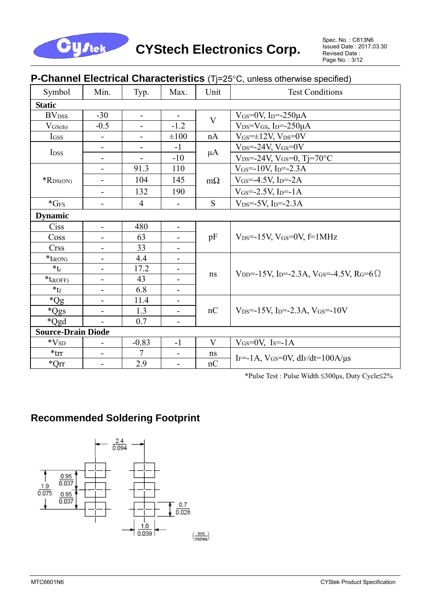

#### **P-Channel Electrical Characteristics** (Tj=25°C, unless otherwise specified)

| Symbol                                             | Min.                         | Typ.                         | Max.                         | Unit         | <b>Test Conditions</b>                                                                           |  |  |
|----------------------------------------------------|------------------------------|------------------------------|------------------------------|--------------|--------------------------------------------------------------------------------------------------|--|--|
| <b>Static</b>                                      |                              |                              |                              |              |                                                                                                  |  |  |
| <b>BV</b> <sub>DSS</sub>                           | $-30$                        | $\overline{\phantom{a}}$     |                              | V            | VGS=0V, I <sub>D</sub> = $-250\mu$ A                                                             |  |  |
| $V_{GS(th)}$                                       | $-0.5$                       | $\overline{a}$               | $-1.2$                       |              | $V_{DS}=V_{GS}$ , I <sub>D</sub> =-250 $\mu$ A                                                   |  |  |
| IGSS                                               | $\qquad \qquad -$            | $\qquad \qquad \blacksquare$ | $\pm 100$                    | nA           | $V$ <sub>GS</sub> = $\pm$ 12V, V <sub>DS</sub> =0V                                               |  |  |
| I <sub>DSS</sub>                                   | $\blacksquare$               | -                            | $-1$                         |              | $V_{DS} = -24V$ , $V_{GS} = 0V$                                                                  |  |  |
|                                                    | $\qquad \qquad \blacksquare$ | $\overline{\phantom{0}}$     | $-10$                        | $\mu A$      | $V_{DS} = -24V$ , $V_{GS} = 0$ , Tj=70°C                                                         |  |  |
|                                                    |                              | 91.3                         | 110                          |              | $V$ <sub>GS</sub> =-10V, I <sub>D</sub> =-2.3A                                                   |  |  |
| $*$ RDS(ON)                                        | $\overline{\phantom{a}}$     | 104                          | 145                          | $m\Omega$    | $V$ <sub>GS</sub> =-4.5V, I <sub>D</sub> =-2A                                                    |  |  |
|                                                    | $\overline{\phantom{a}}$     | 132                          | 190                          |              | $V$ GS=-2.5V, ID=-1A                                                                             |  |  |
| $*GFS$                                             | $\overline{\phantom{a}}$     | $\overline{4}$               | -                            | S            | $V_{DS} = -5V$ , I <sub>D</sub> =-2.3A                                                           |  |  |
| <b>Dynamic</b>                                     |                              |                              |                              |              |                                                                                                  |  |  |
| Ciss                                               | $\overline{\phantom{a}}$     | 480                          | $\overline{\phantom{a}}$     |              |                                                                                                  |  |  |
| Coss                                               |                              | 63                           |                              | pF           | $V_{DS} = -15V$ , $V_{GS} = 0V$ , $f = 1MHz$                                                     |  |  |
| <b>Crss</b>                                        | $\overline{\phantom{a}}$     | 33                           |                              |              |                                                                                                  |  |  |
| $\mathbf{\mathbf{\ast}}_{\mathbf{d}\mathrm{(ON)}}$ | $\blacksquare$               | 4.4                          | $\overline{\phantom{a}}$     |              |                                                                                                  |  |  |
| $*_{t_r}$                                          | $\overline{\phantom{a}}$     | 17.2                         |                              | ns           | V <sub>DD</sub> =-15V, I <sub>D</sub> =-2.3A, V <sub>GS</sub> =-4.5V, R <sub>G</sub> =6 $\Omega$ |  |  |
| $*_{td(OFF)}$                                      |                              | 43                           |                              |              |                                                                                                  |  |  |
| $*_{\text{tf}}$                                    | $\overline{\phantom{a}}$     | 6.8                          |                              |              |                                                                                                  |  |  |
| $*Qg$                                              | $\overline{\phantom{a}}$     | 11.4                         | $\overline{\phantom{a}}$     |              |                                                                                                  |  |  |
| *Qgs                                               | $\overline{\phantom{a}}$     | 1.3                          | $\qquad \qquad \blacksquare$ | nC           | $V_{DS} = -15V$ , I <sub>D</sub> $= -2.3A$ , V <sub>GS</sub> $= -10V$                            |  |  |
| *Qgd                                               |                              | 0.7                          | -                            |              |                                                                                                  |  |  |
| <b>Source-Drain Diode</b>                          |                              |                              |                              |              |                                                                                                  |  |  |
| $\rm ^*V_{SD}$                                     | $\overline{\phantom{0}}$     | $-0.83$                      | $-1$                         | $\mathbf{V}$ | $V$ <sub>GS</sub> = $0$ V <sub>, Is</sub> = $-1$ A                                               |  |  |
| $*$ trr                                            | $\overline{\phantom{a}}$     | 7                            | $\overline{\phantom{a}}$     | ns           | IF=-1A, $V$ GS=0V, dIF/dt=100A/ $\mu$ s                                                          |  |  |
| $^*Qrr$                                            | $\overline{\phantom{a}}$     | 2.9                          | -                            | nC           |                                                                                                  |  |  |

\*Pulse Test : Pulse Width ≤300μs, Duty Cycle≤2%

#### **Recommended Soldering Footprint**

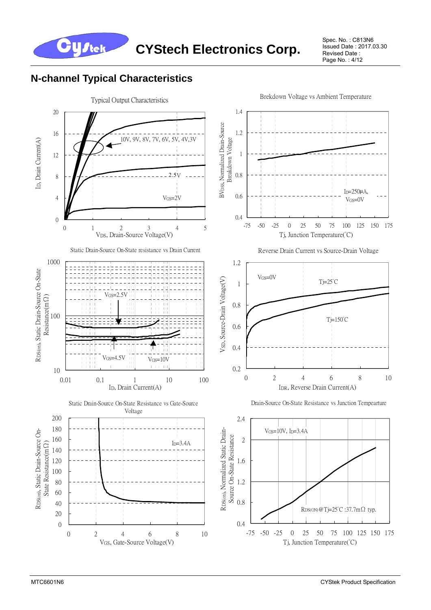

Spec. No. : C813N6 Issued Date : 2017.03.30 Revised Date : Page No. : 4/12

#### **N-channel Typical Characteristics**

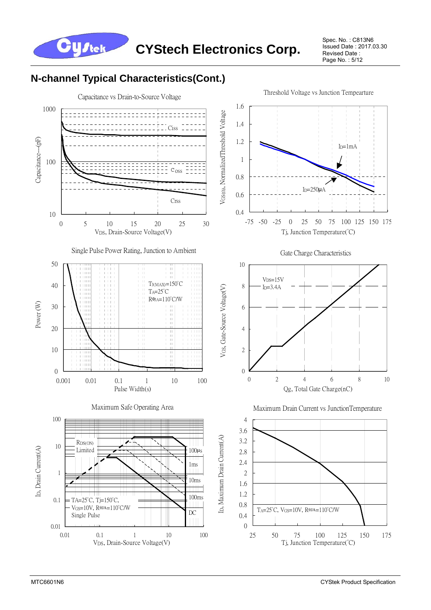

Spec. No. : C813N6 Issued Date : 2017.03.30 Revised Date : Page No. : 5/12

## **N-channel Typical Characteristics(Cont.)**

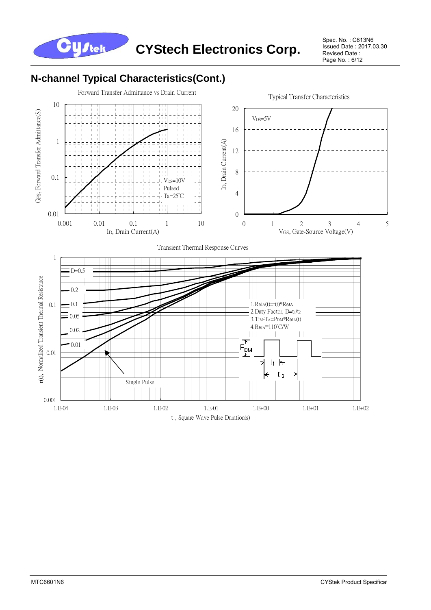

Spec. No. : C813N6 Issued Date : 2017.03.30 Revised Date : Page No.: 6/12

#### **N-channel Typical Characteristics(Cont.)**

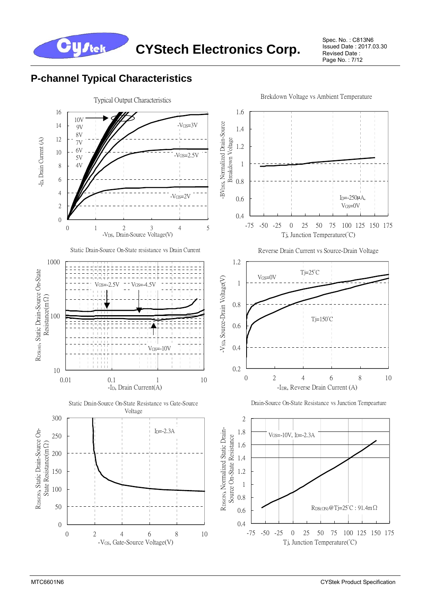

Spec. No. : C813N6 Issued Date : 2017.03.30 Revised Date : Page No. : 7/12

#### **P-channel Typical Characteristics**

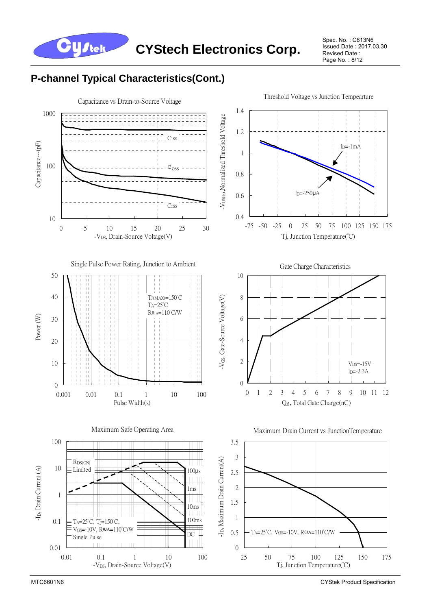**CYStech Electronics Corp.**

Spec. No. : C813N6 Issued Date : 2017.03.30 Revised Date : Page No.: 8/12

#### **P-channel Typical Characteristics(Cont.)**

**Cystek** 



MTC6601N6 CYStek Product Specification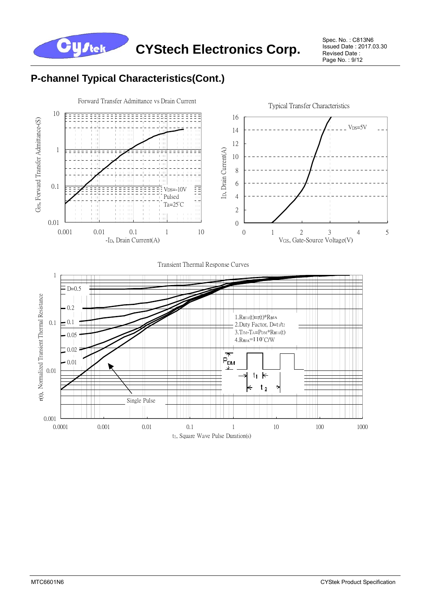

Spec. No. : C813N6 Issued Date : 2017.03.30 Revised Date : Page No.: 9/12

# **P-channel Typical Characteristics(Cont.)**



#### Transient Thermal Response Curves

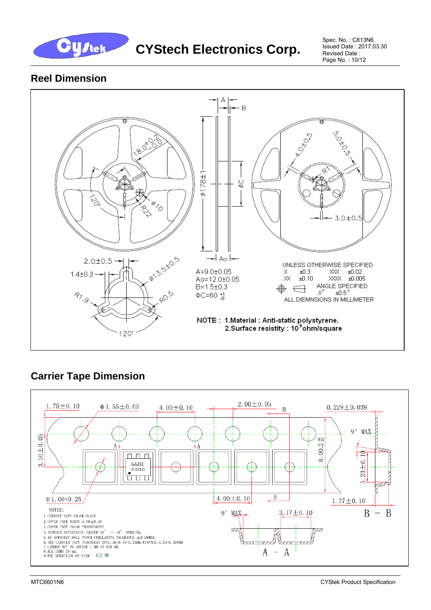

**CYStech Electronics Corp.** 

Spec. No. : C813N6 Issued Date : 2017.03.30 Revised Date : Page No. : 10/12

#### **Reel Dimension**



## **Carrier Tape Dimension**

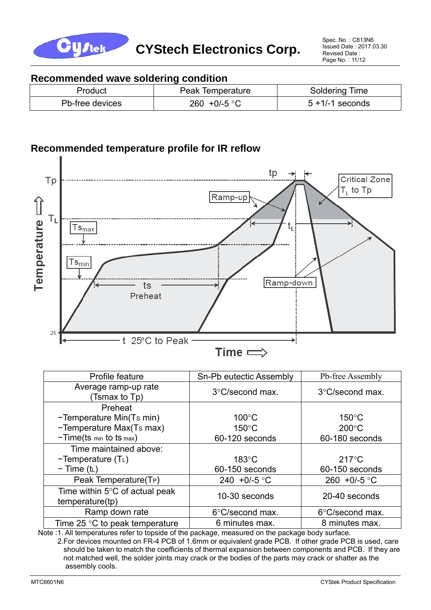

#### **Recommended wave soldering condition**

| Product         | Peak Temperature | <b>Soldering Time</b> |
|-----------------|------------------|-----------------------|
| Pb-free devices | 260 +0/-5 °C     | $5 + 1/-1$ seconds    |

#### **Recommended temperature profile for IR reflow**



| Profile feature                                             | Sn-Pb eutectic Assembly   | Pb-free Assembly          |
|-------------------------------------------------------------|---------------------------|---------------------------|
| Average ramp-up rate<br>(Tsmax to Tp)                       | $3^{\circ}$ C/second max. | $3^{\circ}$ C/second max. |
| Preheat                                                     |                           |                           |
| -Temperature Min(Ts min)                                    | $100^{\circ}$ C           | $150^{\circ}$ C           |
| -Temperature Max(Ts max)                                    | $150^{\circ}$ C           | $200^{\circ}$ C           |
| $-Time(ts \text{ min to ts max})$                           | 60-120 seconds            | 60-180 seconds            |
| Time maintained above:                                      |                           |                           |
| $-Temperature(TL)$                                          | $183^\circ C$             | $217^{\circ}$ C           |
| $-$ Time (t <sub>L</sub> )                                  | 60-150 seconds            | 60-150 seconds            |
| Peak Temperature(T <sub>P</sub> )                           | 240 +0/-5 °C              | 260 +0/-5 $^{\circ}$ C    |
| Time within $5^{\circ}$ C of actual peak<br>temperature(tp) | 10-30 seconds             | 20-40 seconds             |
| Ramp down rate                                              | 6°C/second max.           | 6°C/second max.           |
| Time 25 $\degree$ C to peak temperature                     | 6 minutes max.            | 8 minutes max.            |

Note :1. All temperatures refer to topside of the package, measured on the package body surface.

 2.For devices mounted on FR-4 PCB of 1.6mm or equivalent grade PCB. If other grade PCB is used, care should be taken to match the coefficients of thermal expansion between components and PCB. If they are not matched well, the solder joints may crack or the bodies of the parts may crack or shatter as the assembly cools.